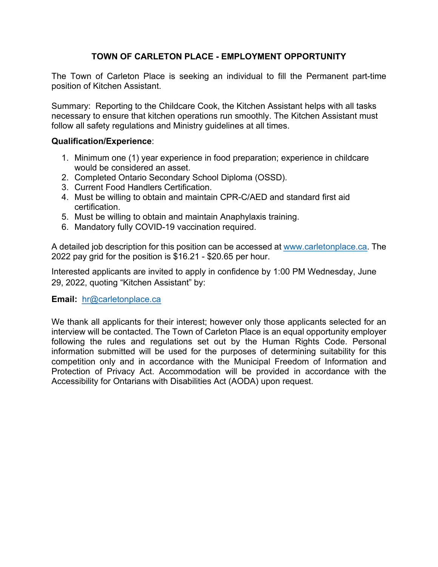# **TOWN OF CARLETON PLACE - EMPLOYMENT OPPORTUNITY**

The Town of Carleton Place is seeking an individual to fill the Permanent part-time position of Kitchen Assistant.

Summary: Reporting to the Childcare Cook, the Kitchen Assistant helps with all tasks necessary to ensure that kitchen operations run smoothly. The Kitchen Assistant must follow all safety regulations and Ministry guidelines at all times.

### **Qualification/Experience**:

- 1. Minimum one (1) year experience in food preparation; experience in childcare would be considered an asset.
- 2. Completed Ontario Secondary School Diploma (OSSD).
- 3. Current Food Handlers Certification.
- 4. Must be willing to obtain and maintain CPR-C/AED and standard first aid certification.
- 5. Must be willing to obtain and maintain Anaphylaxis training.
- 6. Mandatory fully COVID-19 vaccination required.

A detailed job description for this position can be accessed at [www.carletonplace.ca.](http://www.carletonplace.ca/) The 2022 pay grid for the position is \$16.21 - \$20.65 per hour.

Interested applicants are invited to apply in confidence by 1:00 PM Wednesday, June 29, 2022, quoting "Kitchen Assistant" by:

#### **Email:** [hr@carletonplace.ca](mailto:hr@carletonplace.ca)

We thank all applicants for their interest; however only those applicants selected for an interview will be contacted. The Town of Carleton Place is an equal opportunity employer following the rules and regulations set out by the Human Rights Code. Personal information submitted will be used for the purposes of determining suitability for this competition only and in accordance with the Municipal Freedom of Information and Protection of Privacy Act. Accommodation will be provided in accordance with the Accessibility for Ontarians with Disabilities Act (AODA) upon request.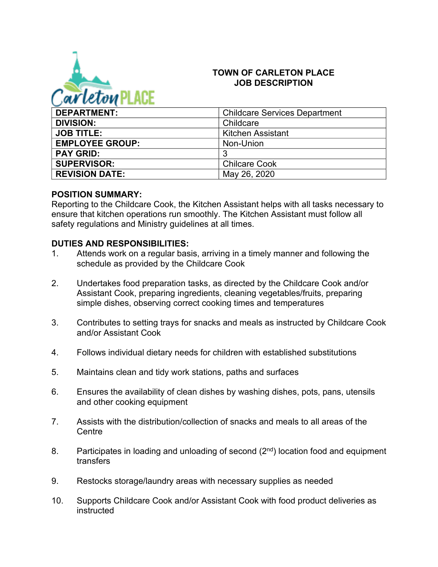

#### **TOWN OF CARLETON PLACE JOB DESCRIPTION**

| <b>DEPARTMENT:</b>     | <b>Childcare Services Department</b> |
|------------------------|--------------------------------------|
| <b>DIVISION:</b>       | Childcare                            |
| <b>JOB TITLE:</b>      | Kitchen Assistant                    |
| <b>EMPLOYEE GROUP:</b> | Non-Union                            |
| <b>PAY GRID:</b>       | 3                                    |
| <b>SUPERVISOR:</b>     | <b>Chilcare Cook</b>                 |
| <b>REVISION DATE:</b>  | May 26, 2020                         |

#### **POSITION SUMMARY:**

Reporting to the Childcare Cook, the Kitchen Assistant helps with all tasks necessary to ensure that kitchen operations run smoothly. The Kitchen Assistant must follow all safety regulations and Ministry guidelines at all times.

#### **DUTIES AND RESPONSIBILITIES:**

- 1. Attends work on a regular basis, arriving in a timely manner and following the schedule as provided by the Childcare Cook
- 2. Undertakes food preparation tasks, as directed by the Childcare Cook and/or Assistant Cook, preparing ingredients, cleaning vegetables/fruits, preparing simple dishes, observing correct cooking times and temperatures
- 3. Contributes to setting trays for snacks and meals as instructed by Childcare Cook and/or Assistant Cook
- 4. Follows individual dietary needs for children with established substitutions
- 5. Maintains clean and tidy work stations, paths and surfaces
- 6. Ensures the availability of clean dishes by washing dishes, pots, pans, utensils and other cooking equipment
- 7. Assists with the distribution/collection of snacks and meals to all areas of the **Centre**
- 8. Participates in loading and unloading of second  $(2^{nd})$  location food and equipment transfers
- 9. Restocks storage/laundry areas with necessary supplies as needed
- 10. Supports Childcare Cook and/or Assistant Cook with food product deliveries as instructed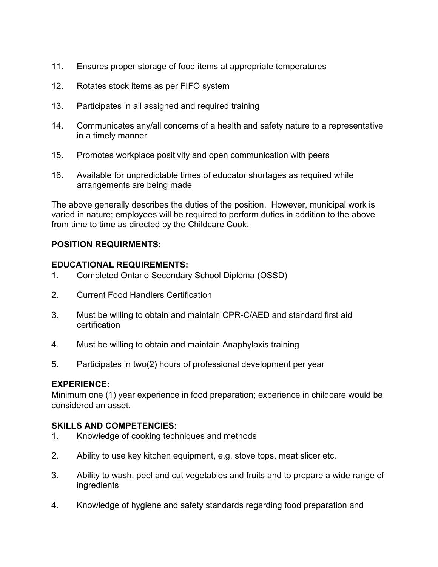- 11. Ensures proper storage of food items at appropriate temperatures
- 12. Rotates stock items as per FIFO system
- 13. Participates in all assigned and required training
- 14. Communicates any/all concerns of a health and safety nature to a representative in a timely manner
- 15. Promotes workplace positivity and open communication with peers
- 16. Available for unpredictable times of educator shortages as required while arrangements are being made

The above generally describes the duties of the position. However, municipal work is varied in nature; employees will be required to perform duties in addition to the above from time to time as directed by the Childcare Cook.

# **POSITION REQUIRMENTS:**

### **EDUCATIONAL REQUIREMENTS:**

- 1. Completed Ontario Secondary School Diploma (OSSD)
- 2. Current Food Handlers Certification
- 3. Must be willing to obtain and maintain CPR-C/AED and standard first aid certification
- 4. Must be willing to obtain and maintain Anaphylaxis training
- 5. Participates in two(2) hours of professional development per year

#### **EXPERIENCE:**

Minimum one (1) year experience in food preparation; experience in childcare would be considered an asset.

#### **SKILLS AND COMPETENCIES:**

- 1. Knowledge of cooking techniques and methods
- 2. Ability to use key kitchen equipment, e.g. stove tops, meat slicer etc.
- 3. Ability to wash, peel and cut vegetables and fruits and to prepare a wide range of ingredients
- 4. Knowledge of hygiene and safety standards regarding food preparation and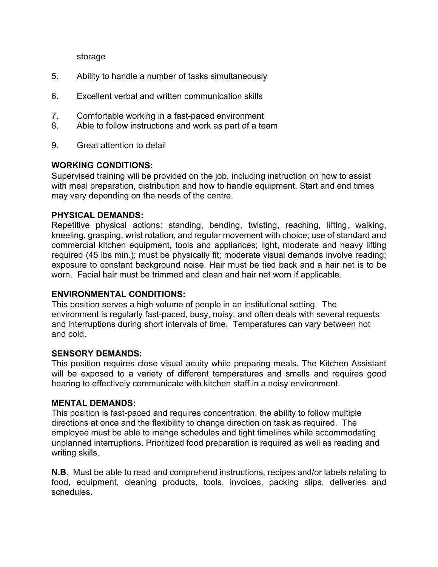storage

- 5. Ability to handle a number of tasks simultaneously
- 6. Excellent verbal and written communication skills
- 7. Comfortable working in a fast-paced environment
- 8. Able to follow instructions and work as part of a team
- 9. Great attention to detail

### **WORKING CONDITIONS:**

Supervised training will be provided on the job, including instruction on how to assist with meal preparation, distribution and how to handle equipment. Start and end times may vary depending on the needs of the centre.

### **PHYSICAL DEMANDS:**

Repetitive physical actions: standing, bending, twisting, reaching, lifting, walking, kneeling, grasping, wrist rotation, and regular movement with choice; use of standard and commercial kitchen equipment, tools and appliances; light, moderate and heavy lifting required (45 lbs min.); must be physically fit; moderate visual demands involve reading; exposure to constant background noise. Hair must be tied back and a hair net is to be worn. Facial hair must be trimmed and clean and hair net worn if applicable.

#### **ENVIRONMENTAL CONDITIONS:**

This position serves a high volume of people in an institutional setting. The environment is regularly fast-paced, busy, noisy, and often deals with several requests and interruptions during short intervals of time. Temperatures can vary between hot and cold.

#### **SENSORY DEMANDS:**

This position requires close visual acuity while preparing meals. The Kitchen Assistant will be exposed to a variety of different temperatures and smells and requires good hearing to effectively communicate with kitchen staff in a noisy environment.

#### **MENTAL DEMANDS:**

This position is fast-paced and requires concentration, the ability to follow multiple directions at once and the flexibility to change direction on task as required. The employee must be able to mange schedules and tight timelines while accommodating unplanned interruptions. Prioritized food preparation is required as well as reading and writing skills.

**N.B.** Must be able to read and comprehend instructions, recipes and/or labels relating to food, equipment, cleaning products, tools, invoices, packing slips, deliveries and schedules.